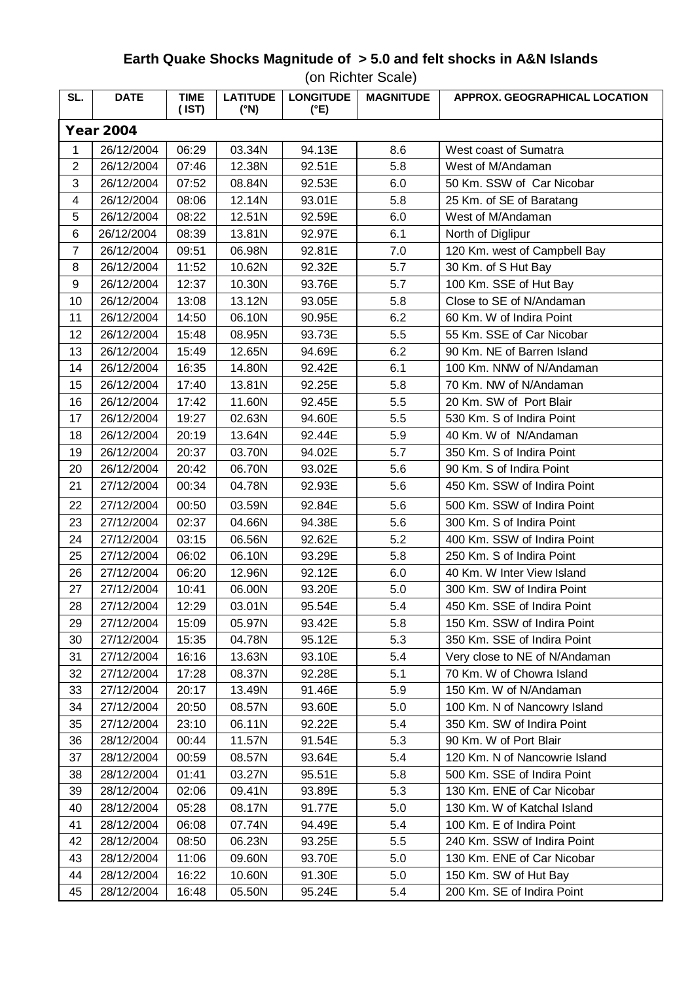## **Earth Quake Shocks Magnitude of > 5.0 and felt shocks in A&N Islands**

(on Richter Scale)

| SL.              | <b>DATE</b> | <b>TIME</b><br>(IST) | <b>LATITUDE</b><br>$(^{\circ}N)$ | <b>LONGITUDE</b><br>(°E) | <b>MAGNITUDE</b> | APPROX. GEOGRAPHICAL LOCATION |  |  |  |  |
|------------------|-------------|----------------------|----------------------------------|--------------------------|------------------|-------------------------------|--|--|--|--|
| <b>Year 2004</b> |             |                      |                                  |                          |                  |                               |  |  |  |  |
| 1                | 26/12/2004  | 06:29                | 03.34N                           | 94.13E                   | 8.6              | West coast of Sumatra         |  |  |  |  |
| $\overline{c}$   | 26/12/2004  | 07:46                | 12.38N                           | 92.51E                   | 5.8              | West of M/Andaman             |  |  |  |  |
| 3                | 26/12/2004  | 07:52                | 08.84N                           | 92.53E                   | 6.0              | 50 Km. SSW of Car Nicobar     |  |  |  |  |
| 4                | 26/12/2004  | 08:06                | 12.14N                           | 93.01E                   | 5.8              | 25 Km. of SE of Baratang      |  |  |  |  |
| 5                | 26/12/2004  | 08:22                | 12.51N                           | 92.59E                   | 6.0              | West of M/Andaman             |  |  |  |  |
| 6                | 26/12/2004  | 08:39                | 13.81N                           | 92.97E                   | 6.1              | North of Diglipur             |  |  |  |  |
| $\overline{7}$   | 26/12/2004  | 09:51                | 06.98N                           | 92.81E                   | 7.0              | 120 Km. west of Campbell Bay  |  |  |  |  |
| 8                | 26/12/2004  | 11:52                | 10.62N                           | 92.32E                   | 5.7              | 30 Km. of S Hut Bay           |  |  |  |  |
| 9                | 26/12/2004  | 12:37                | 10.30N                           | 93.76E                   | 5.7              | 100 Km. SSE of Hut Bay        |  |  |  |  |
| 10               | 26/12/2004  | 13:08                | 13.12N                           | 93.05E                   | 5.8              | Close to SE of N/Andaman      |  |  |  |  |
| 11               | 26/12/2004  | 14:50                | 06.10N                           | 90.95E                   | 6.2              | 60 Km. W of Indira Point      |  |  |  |  |
| 12               | 26/12/2004  | 15:48                | 08.95N                           | 93.73E                   | 5.5              | 55 Km. SSE of Car Nicobar     |  |  |  |  |
| 13               | 26/12/2004  | 15:49                | 12.65N                           | 94.69E                   | 6.2              | 90 Km. NE of Barren Island    |  |  |  |  |
| 14               | 26/12/2004  | 16:35                | 14.80N                           | 92.42E                   | 6.1              | 100 Km. NNW of N/Andaman      |  |  |  |  |
| 15               | 26/12/2004  | 17:40                | 13.81N                           | 92.25E                   | 5.8              | 70 Km. NW of N/Andaman        |  |  |  |  |
| 16               | 26/12/2004  | 17:42                | 11.60N                           | 92.45E                   | 5.5              | 20 Km. SW of Port Blair       |  |  |  |  |
| 17               | 26/12/2004  | 19:27                | 02.63N                           | 94.60E                   | 5.5              | 530 Km. S of Indira Point     |  |  |  |  |
| 18               | 26/12/2004  | 20:19                | 13.64N                           | 92.44E                   | 5.9              | 40 Km. W of N/Andaman         |  |  |  |  |
| 19               | 26/12/2004  | 20:37                | 03.70N                           | 94.02E                   | 5.7              | 350 Km. S of Indira Point     |  |  |  |  |
| 20               | 26/12/2004  | 20:42                | 06.70N                           | 93.02E                   | 5.6              | 90 Km. S of Indira Point      |  |  |  |  |
| 21               | 27/12/2004  | 00:34                | 04.78N                           | 92.93E                   | 5.6              | 450 Km. SSW of Indira Point   |  |  |  |  |
| 22               | 27/12/2004  | 00:50                | 03.59N                           | 92.84E                   | 5.6              | 500 Km. SSW of Indira Point   |  |  |  |  |
| 23               | 27/12/2004  | 02:37                | 04.66N                           | 94.38E                   | 5.6              | 300 Km. S of Indira Point     |  |  |  |  |
| 24               | 27/12/2004  | 03:15                | 06.56N                           | 92.62E                   | 5.2              | 400 Km. SSW of Indira Point   |  |  |  |  |
| 25               | 27/12/2004  | 06:02                | 06.10N                           | 93.29E                   | 5.8              | 250 Km. S of Indira Point     |  |  |  |  |
| 26               | 27/12/2004  | 06:20                | 12.96N                           | 92.12E                   | 6.0              | 40 Km. W Inter View Island    |  |  |  |  |
| 27               | 27/12/2004  | 10:41                | 06.00N                           | 93.20E                   | 5.0              | 300 Km. SW of Indira Point    |  |  |  |  |
| 28               | 27/12/2004  | 12:29                | 03.01N                           | 95.54E                   | 5.4              | 450 Km. SSE of Indira Point   |  |  |  |  |
| 29               | 27/12/2004  | 15:09                | 05.97N                           | 93.42E                   | 5.8              | 150 Km. SSW of Indira Point   |  |  |  |  |
| 30               | 27/12/2004  | 15:35                | 04.78N                           | 95.12E                   | 5.3              | 350 Km. SSE of Indira Point   |  |  |  |  |
| 31               | 27/12/2004  | 16:16                | 13.63N                           | 93.10E                   | 5.4              | Very close to NE of N/Andaman |  |  |  |  |
| 32               | 27/12/2004  | 17:28                | 08.37N                           | 92.28E                   | 5.1              | 70 Km. W of Chowra Island     |  |  |  |  |
| 33               | 27/12/2004  | 20:17                | 13.49N                           | 91.46E                   | 5.9              | 150 Km. W of N/Andaman        |  |  |  |  |
| 34               | 27/12/2004  | 20:50                | 08.57N                           | 93.60E                   | 5.0              | 100 Km. N of Nancowry Island  |  |  |  |  |
| 35               | 27/12/2004  | 23:10                | 06.11N                           | 92.22E                   | 5.4              | 350 Km. SW of Indira Point    |  |  |  |  |
| 36               | 28/12/2004  | 00:44                | 11.57N                           | 91.54E                   | 5.3              | 90 Km. W of Port Blair        |  |  |  |  |
| 37               | 28/12/2004  | 00:59                | 08.57N                           | 93.64E                   | 5.4              | 120 Km. N of Nancowrie Island |  |  |  |  |
| 38               | 28/12/2004  | 01:41                | 03.27N                           | 95.51E                   | 5.8              | 500 Km. SSE of Indira Point   |  |  |  |  |
| 39               | 28/12/2004  | 02:06                | 09.41N                           | 93.89E                   | 5.3              | 130 Km. ENE of Car Nicobar    |  |  |  |  |
| 40               | 28/12/2004  | 05:28                | 08.17N                           | 91.77E                   | 5.0              | 130 Km. W of Katchal Island   |  |  |  |  |
| 41               | 28/12/2004  | 06:08                | 07.74N                           | 94.49E                   | 5.4              | 100 Km. E of Indira Point     |  |  |  |  |
| 42               | 28/12/2004  | 08:50                | 06.23N                           | 93.25E                   | 5.5              | 240 Km. SSW of Indira Point   |  |  |  |  |
| 43               | 28/12/2004  | 11:06                | 09.60N                           | 93.70E                   | 5.0              | 130 Km. ENE of Car Nicobar    |  |  |  |  |
| 44               | 28/12/2004  | 16:22                | 10.60N                           | 91.30E                   | 5.0              | 150 Km. SW of Hut Bay         |  |  |  |  |
| 45               | 28/12/2004  | 16:48                | 05.50N                           | 95.24E                   | 5.4              | 200 Km. SE of Indira Point    |  |  |  |  |